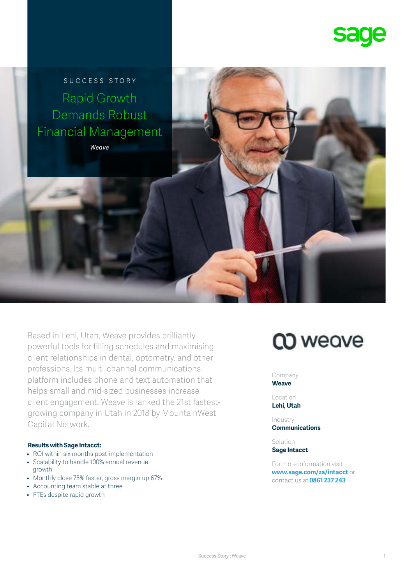

SUCCESS STORY Rapid Growth Demands Robust Financial Management

*Weave*

Based in Lehi, Utah, Weave provides brilliantly powerful tools for filling schedules and maximising client relationships in dental, optometry, and other professions. Its multi-channel communications platform includes phone and text automation that helps small and mid-sized businesses increase client engagement. Weave is ranked the 21st fastestgrowing company in Utah in 2018 by MountainWest Capital Network.

### **Results with Sage Intacct:**

- ROI within six months post-implementation
- Scalability to handle 100% annual revenue growth
- Monthly close 75% faster, gross margin up 67%
- Accounting team stable at three
- FTEs despite rapid growth

# **CO** weave

Company **Weave**

Location **Lehi, Utah**

Industry **Communications**

Solution **Sage Intacct**

For more information visit **[www.sage.com/za/intacct](http://www.sage.com/uk/intacct)** or contact us at **0861 237 243**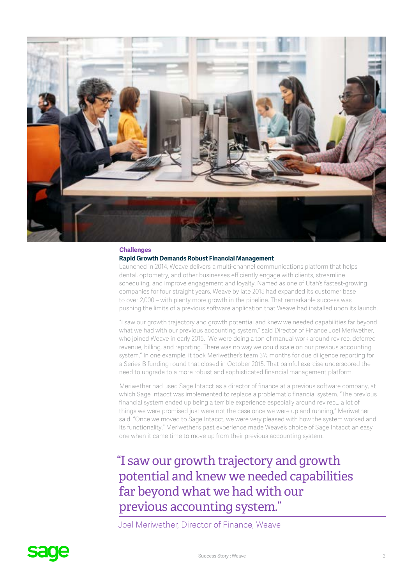

### **Challenges**

### **Rapid Growth Demands Robust Financial Management**

Launched in 2014, Weave delivers a multi-channel communications platform that helps dental, optometry, and other businesses efficiently engage with clients, streamline scheduling, and improve engagement and loyalty. Named as one of Utah's fastest-growing companies for four straight years, Weave by late 2015 had expanded its customer base to over 2,000 – with plenty more growth in the pipeline. That remarkable success was pushing the limits of a previous software application that Weave had installed upon its launch.

"I saw our growth trajectory and growth potential and knew we needed capabilities far beyond what we had with our previous accounting system," said Director of Finance Joel Meriwether, who joined Weave in early 2015. "We were doing a ton of manual work around rev rec, deferred revenue, billing, and reporting. There was no way we could scale on our previous accounting system." In one example, it took Meriwether's team 3½ months for due diligence reporting for a Series B funding round that closed in October 2015. That painful exercise underscored the need to upgrade to a more robust and sophisticated financial management platform.

Meriwether had used Sage Intacct as a director of finance at a previous software company, at which Sage Intacct was implemented to replace a problematic financial system. "The previous financial system ended up being a terrible experience especially around rev rec… a lot of things we were promised just were not the case once we were up and running," Meriwether said. "Once we moved to Sage Intacct, we were very pleased with how the system worked and its functionality." Meriwether's past experience made Weave's choice of Sage Intacct an easy one when it came time to move up from their previous accounting system.

"I saw our growth trajectory and growth potential and knew we needed capabilities far beyond what we had with our previous accounting system."

Joel Meriwether, Director of Finance, Weave

# **sage**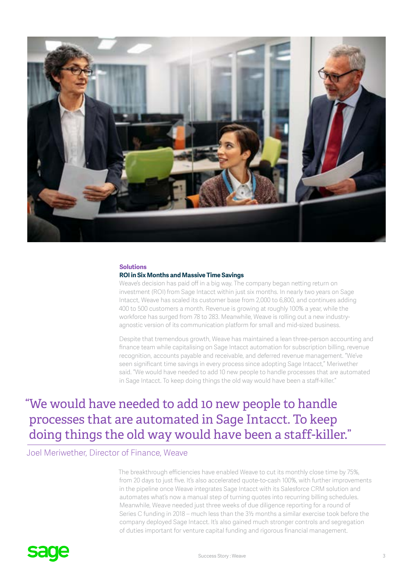

### **Solutions**

#### **ROI in Six Months and Massive Time Savings**

Weave's decision has paid off in a big way. The company began netting return on investment (ROI) from Sage Intacct within just six months. In nearly two years on Sage Intacct, Weave has scaled its customer base from 2,000 to 6,800, and continues adding 400 to 500 customers a month. Revenue is growing at roughly 100% a year, while the workforce has surged from 78 to 283. Meanwhile, Weave is rolling out a new industryagnostic version of its communication platform for small and mid-sized business.

Despite that tremendous growth, Weave has maintained a lean three-person accounting and finance team while capitalising on Sage Intacct automation for subscription billing, revenue recognition, accounts payable and receivable, and deferred revenue management. "We've seen significant time savings in every process since adopting Sage Intacct," Meriwether said. "We would have needed to add 10 new people to handle processes that are automated in Sage Intacct. To keep doing things the old way would have been a staff-killer."

## "We would have needed to add 10 new people to handle processes that are automated in Sage Intacct. To keep doing things the old way would have been a staff-killer."

### Joel Meriwether, Director of Finance, Weave

The breakthrough efficiencies have enabled Weave to cut its monthly close time by 75%, from 20 days to just five. It's also accelerated quote-to-cash 100%, with further improvements in the pipeline once Weave integrates Sage Intacct with its Salesforce CRM solution and automates what's now a manual step of turning quotes into recurring billing schedules. Meanwhile, Weave needed just three weeks of due diligence reporting for a round of Series C funding in 2018 – much less than the 3½ months a similar exercise took before the company deployed Sage Intacct. It's also gained much stronger controls and segregation of duties important for venture capital funding and rigorous financial management.

# **sage**